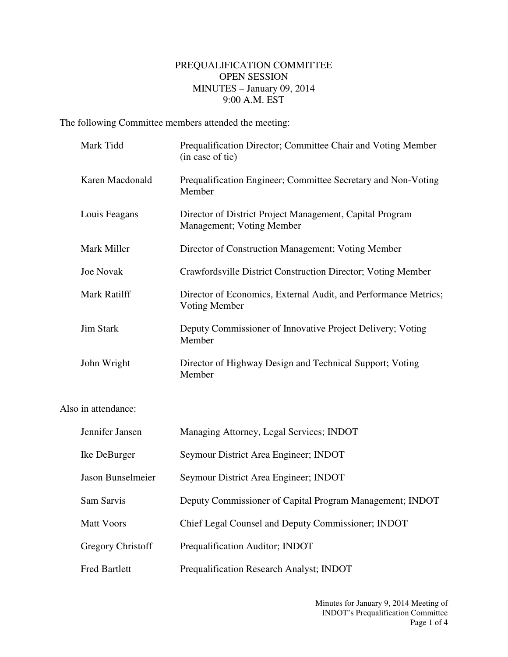## PREQUALIFICATION COMMITTEE OPEN SESSION MINUTES – January 09, 2014 9:00 A.M. EST

The following Committee members attended the meeting:

| Mark Tidd        | Prequalification Director; Committee Chair and Voting Member<br>(in case of tie)      |
|------------------|---------------------------------------------------------------------------------------|
| Karen Macdonald  | Prequalification Engineer; Committee Secretary and Non-Voting<br>Member               |
| Louis Feagans    | Director of District Project Management, Capital Program<br>Management; Voting Member |
| Mark Miller      | Director of Construction Management; Voting Member                                    |
| <b>Joe Novak</b> | Crawfordsville District Construction Director; Voting Member                          |
| Mark Ratilff     | Director of Economics, External Audit, and Performance Metrics;<br>Voting Member      |
| <b>Jim Stark</b> | Deputy Commissioner of Innovative Project Delivery; Voting<br>Member                  |
| John Wright      | Director of Highway Design and Technical Support; Voting<br>Member                    |

Also in attendance:

| Jennifer Jansen          | Managing Attorney, Legal Services; INDOT                 |
|--------------------------|----------------------------------------------------------|
| Ike DeBurger             | Seymour District Area Engineer; INDOT                    |
| Jason Bunselmeier        | Seymour District Area Engineer; INDOT                    |
| Sam Sarvis               | Deputy Commissioner of Capital Program Management; INDOT |
| Matt Voors               | Chief Legal Counsel and Deputy Commissioner; INDOT       |
| <b>Gregory Christoff</b> | Prequalification Auditor; INDOT                          |
| <b>Fred Bartlett</b>     | Prequalification Research Analyst; INDOT                 |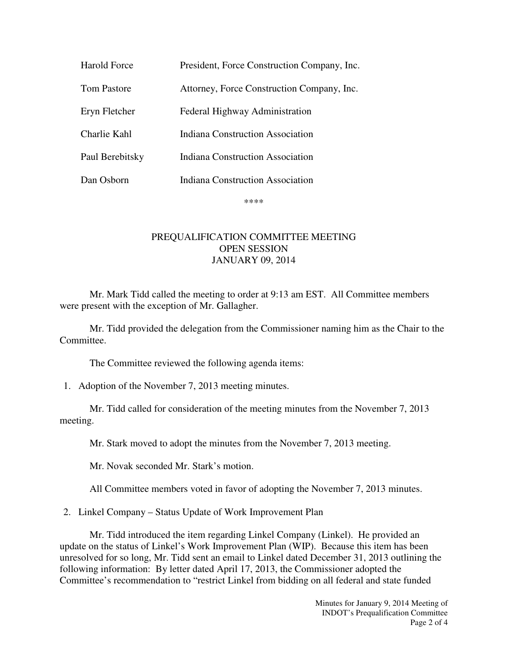| <b>Harold Force</b> | President, Force Construction Company, Inc. |
|---------------------|---------------------------------------------|
| Tom Pastore         | Attorney, Force Construction Company, Inc.  |
| Eryn Fletcher       | Federal Highway Administration              |
| Charlie Kahl        | Indiana Construction Association            |
| Paul Berebitsky     | Indiana Construction Association            |
| Dan Osborn          | <b>Indiana Construction Association</b>     |

\*\*\*\*

## PREQUALIFICATION COMMITTEE MEETING OPEN SESSION JANUARY 09, 2014

Mr. Mark Tidd called the meeting to order at 9:13 am EST. All Committee members were present with the exception of Mr. Gallagher.

Mr. Tidd provided the delegation from the Commissioner naming him as the Chair to the Committee.

The Committee reviewed the following agenda items:

1. Adoption of the November 7, 2013 meeting minutes.

Mr. Tidd called for consideration of the meeting minutes from the November 7, 2013 meeting.

Mr. Stark moved to adopt the minutes from the November 7, 2013 meeting.

Mr. Novak seconded Mr. Stark's motion.

All Committee members voted in favor of adopting the November 7, 2013 minutes.

2. Linkel Company – Status Update of Work Improvement Plan

Mr. Tidd introduced the item regarding Linkel Company (Linkel). He provided an update on the status of Linkel's Work Improvement Plan (WIP). Because this item has been unresolved for so long, Mr. Tidd sent an email to Linkel dated December 31, 2013 outlining the following information: By letter dated April 17, 2013, the Commissioner adopted the Committee's recommendation to "restrict Linkel from bidding on all federal and state funded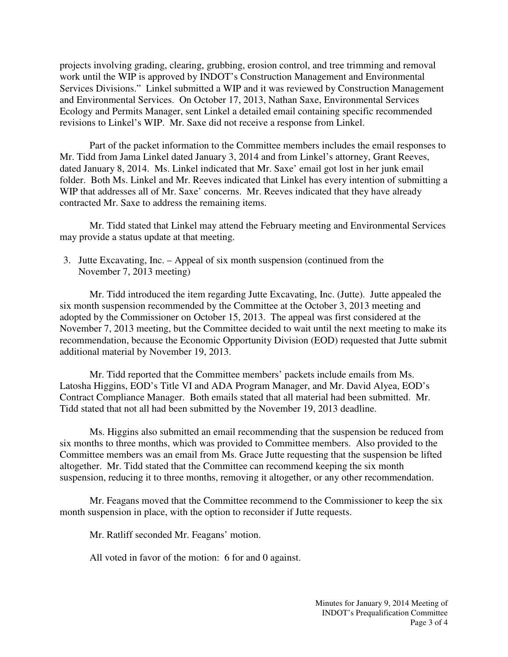projects involving grading, clearing, grubbing, erosion control, and tree trimming and removal work until the WIP is approved by INDOT's Construction Management and Environmental Services Divisions." Linkel submitted a WIP and it was reviewed by Construction Management and Environmental Services. On October 17, 2013, Nathan Saxe, Environmental Services Ecology and Permits Manager, sent Linkel a detailed email containing specific recommended revisions to Linkel's WIP. Mr. Saxe did not receive a response from Linkel.

Part of the packet information to the Committee members includes the email responses to Mr. Tidd from Jama Linkel dated January 3, 2014 and from Linkel's attorney, Grant Reeves, dated January 8, 2014. Ms. Linkel indicated that Mr. Saxe' email got lost in her junk email folder. Both Ms. Linkel and Mr. Reeves indicated that Linkel has every intention of submitting a WIP that addresses all of Mr. Saxe' concerns. Mr. Reeves indicated that they have already contracted Mr. Saxe to address the remaining items.

Mr. Tidd stated that Linkel may attend the February meeting and Environmental Services may provide a status update at that meeting.

3. Jutte Excavating, Inc. – Appeal of six month suspension (continued from the November 7, 2013 meeting)

Mr. Tidd introduced the item regarding Jutte Excavating, Inc. (Jutte). Jutte appealed the six month suspension recommended by the Committee at the October 3, 2013 meeting and adopted by the Commissioner on October 15, 2013. The appeal was first considered at the November 7, 2013 meeting, but the Committee decided to wait until the next meeting to make its recommendation, because the Economic Opportunity Division (EOD) requested that Jutte submit additional material by November 19, 2013.

Mr. Tidd reported that the Committee members' packets include emails from Ms. Latosha Higgins, EOD's Title VI and ADA Program Manager, and Mr. David Alyea, EOD's Contract Compliance Manager. Both emails stated that all material had been submitted. Mr. Tidd stated that not all had been submitted by the November 19, 2013 deadline.

Ms. Higgins also submitted an email recommending that the suspension be reduced from six months to three months, which was provided to Committee members. Also provided to the Committee members was an email from Ms. Grace Jutte requesting that the suspension be lifted altogether. Mr. Tidd stated that the Committee can recommend keeping the six month suspension, reducing it to three months, removing it altogether, or any other recommendation.

Mr. Feagans moved that the Committee recommend to the Commissioner to keep the six month suspension in place, with the option to reconsider if Jutte requests.

Mr. Ratliff seconded Mr. Feagans' motion.

All voted in favor of the motion: 6 for and 0 against.